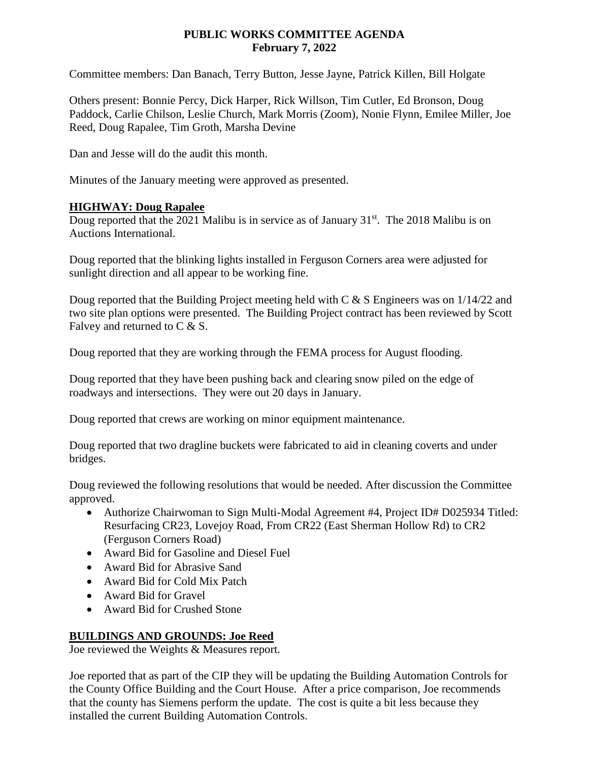## **PUBLIC WORKS COMMITTEE AGENDA February 7, 2022**

Committee members: Dan Banach, Terry Button, Jesse Jayne, Patrick Killen, Bill Holgate

Others present: Bonnie Percy, Dick Harper, Rick Willson, Tim Cutler, Ed Bronson, Doug Paddock, Carlie Chilson, Leslie Church, Mark Morris (Zoom), Nonie Flynn, Emilee Miller, Joe Reed, Doug Rapalee, Tim Groth, Marsha Devine

Dan and Jesse will do the audit this month.

Minutes of the January meeting were approved as presented.

## **HIGHWAY: Doug Rapalee**

Doug reported that the 2021 Malibu is in service as of January  $31<sup>st</sup>$ . The 2018 Malibu is on Auctions International.

Doug reported that the blinking lights installed in Ferguson Corners area were adjusted for sunlight direction and all appear to be working fine.

Doug reported that the Building Project meeting held with  $C \& S$  Engineers was on 1/14/22 and two site plan options were presented. The Building Project contract has been reviewed by Scott Falvey and returned to C & S.

Doug reported that they are working through the FEMA process for August flooding.

Doug reported that they have been pushing back and clearing snow piled on the edge of roadways and intersections. They were out 20 days in January.

Doug reported that crews are working on minor equipment maintenance.

Doug reported that two dragline buckets were fabricated to aid in cleaning coverts and under bridges.

Doug reviewed the following resolutions that would be needed. After discussion the Committee approved.

- Authorize Chairwoman to Sign Multi-Modal Agreement #4, Project ID# D025934 Titled: Resurfacing CR23, Lovejoy Road, From CR22 (East Sherman Hollow Rd) to CR2 (Ferguson Corners Road)
- Award Bid for Gasoline and Diesel Fuel
- Award Bid for Abrasive Sand
- Award Bid for Cold Mix Patch
- Award Bid for Gravel
- Award Bid for Crushed Stone

## **BUILDINGS AND GROUNDS: Joe Reed**

Joe reviewed the Weights & Measures report.

Joe reported that as part of the CIP they will be updating the Building Automation Controls for the County Office Building and the Court House. After a price comparison, Joe recommends that the county has Siemens perform the update. The cost is quite a bit less because they installed the current Building Automation Controls.